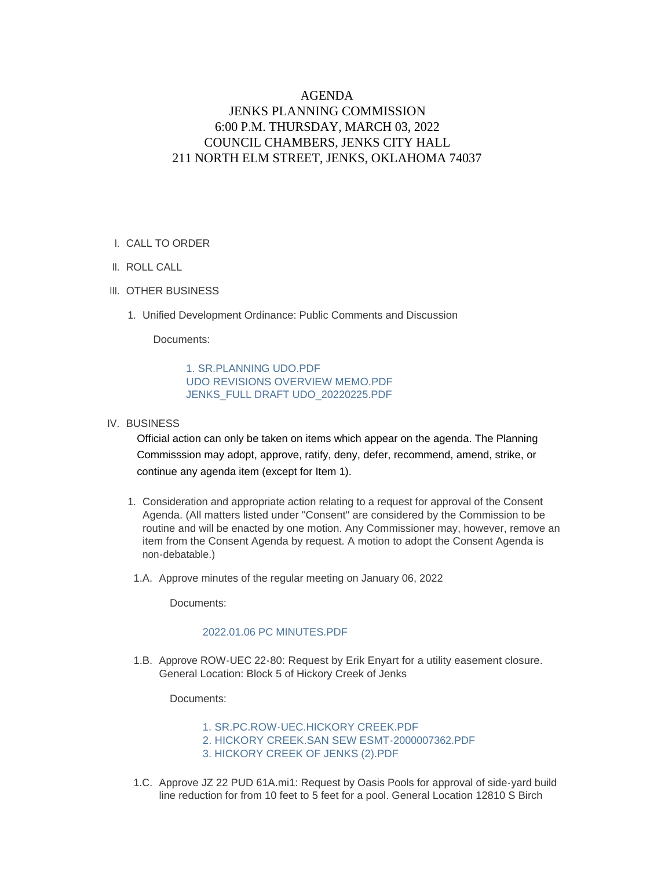## AGENDA JENKS PLANNING COMMISSION 6:00 P.M. THURSDAY, MARCH 03, 2022 COUNCIL CHAMBERS, JENKS CITY HALL 211 NORTH ELM STREET, JENKS, OKLAHOMA 74037

## CALL TO ORDER I.

- II. ROLL CALL
- III. OTHER BUSINESS
	- 1. Unified Development Ordinance: Public Comments and Discussion

Documents:

[1. SR.PLANNING UDO.PDF](https://www.jenks.com/AgendaCenter/ViewFile/Item/1242?fileID=2430) [UDO REVISIONS OVERVIEW MEMO.PDF](https://www.jenks.com/AgendaCenter/ViewFile/Item/1242?fileID=2431) [JENKS\\_FULL DRAFT UDO\\_20220225.PDF](https://www.jenks.com/AgendaCenter/ViewFile/Item/1242?fileID=2432)

## IV. BUSINESS

Official action can only be taken on items which appear on the agenda. The Planning Commisssion may adopt, approve, ratify, deny, defer, recommend, amend, strike, or continue any agenda item (except for Item 1).

- 1. Consideration and appropriate action relating to a request for approval of the Consent Agenda. (All matters listed under "Consent" are considered by the Commission to be routine and will be enacted by one motion. Any Commissioner may, however, remove an item from the Consent Agenda by request. A motion to adopt the Consent Agenda is non-debatable.)
- 1.A. Approve minutes of the regular meeting on January 06, 2022

Documents:

## [2022.01.06 PC MINUTES.PDF](https://www.jenks.com/AgendaCenter/ViewFile/Item/1248?fileID=2458)

1.B. Approve ROW-UEC 22-80: Request by Erik Enyart for a utility easement closure. General Location: Block 5 of Hickory Creek of Jenks

Documents:

[1. SR.PC.ROW-UEC.HICKORY CREEK.PDF](https://www.jenks.com/AgendaCenter/ViewFile/Item/1249?fileID=2459) [2. HICKORY CREEK.SAN SEW ESMT-2000007362.PDF](https://www.jenks.com/AgendaCenter/ViewFile/Item/1249?fileID=2460) [3. HICKORY CREEK OF JENKS \(2\).PDF](https://www.jenks.com/AgendaCenter/ViewFile/Item/1249?fileID=2461)

1.C. Approve JZ 22 PUD 61A.mi1: Request by Oasis Pools for approval of side-yard build line reduction for from 10 feet to 5 feet for a pool. General Location 12810 S Birch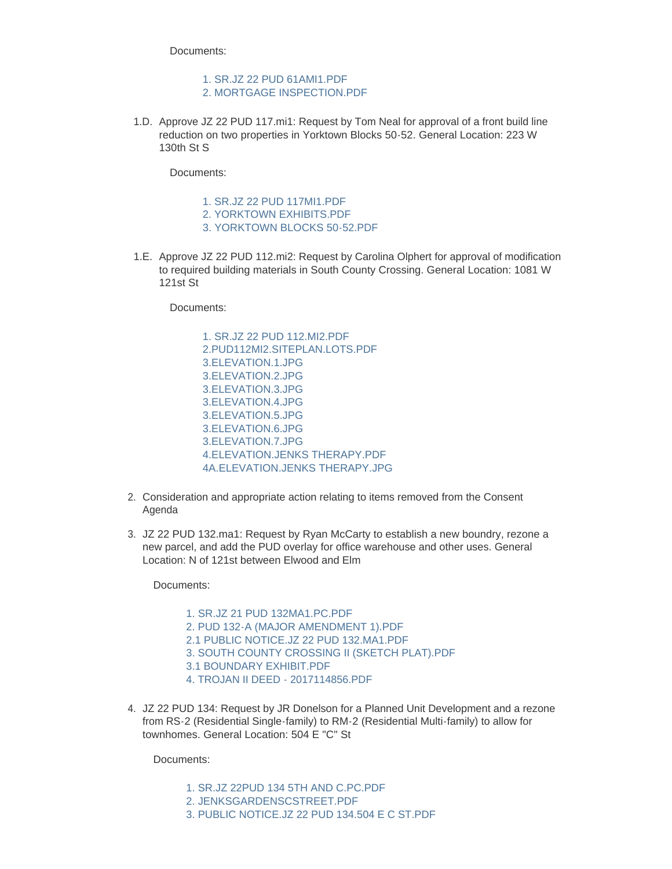Documents:

[1. SR.JZ 22 PUD 61AMI1.PDF](https://www.jenks.com/AgendaCenter/ViewFile/Item/1243?fileID=2434) [2. MORTGAGE INSPECTION.PDF](https://www.jenks.com/AgendaCenter/ViewFile/Item/1243?fileID=2433)

1.D. Approve JZ 22 PUD 117. mi1: Request by Tom Neal for approval of a front build line reduction on two properties in Yorktown Blocks 50-52. General Location: 223 W 130th St S

Documents:

[1. SR.JZ 22 PUD 117MI1.PDF](https://www.jenks.com/AgendaCenter/ViewFile/Item/1244?fileID=2436)

- [2. YORKTOWN EXHIBITS.PDF](https://www.jenks.com/AgendaCenter/ViewFile/Item/1244?fileID=2435)
- [3. YORKTOWN BLOCKS 50-52.PDF](https://www.jenks.com/AgendaCenter/ViewFile/Item/1244?fileID=2437)
- 1.E. Approve JZ 22 PUD 112.mi2: Request by Carolina Olphert for approval of modification to required building materials in South County Crossing. General Location: 1081 W 121st St

Documents:

- [1. SR.JZ 22 PUD 112.MI2.PDF](https://www.jenks.com/AgendaCenter/ViewFile/Item/1245?fileID=2442) [2.PUD112MI2.SITEPLAN.LOTS.PDF](https://www.jenks.com/AgendaCenter/ViewFile/Item/1245?fileID=2443) [3.ELEVATION.1.JPG](https://www.jenks.com/AgendaCenter/ViewFile/Item/1245?fileID=2444) [3.ELEVATION.2.JPG](https://www.jenks.com/AgendaCenter/ViewFile/Item/1245?fileID=2445) [3.ELEVATION.3.JPG](https://www.jenks.com/AgendaCenter/ViewFile/Item/1245?fileID=2446) [3.ELEVATION.4.JPG](https://www.jenks.com/AgendaCenter/ViewFile/Item/1245?fileID=2447) [3.ELEVATION.5.JPG](https://www.jenks.com/AgendaCenter/ViewFile/Item/1245?fileID=2448) [3.ELEVATION.6.JPG](https://www.jenks.com/AgendaCenter/ViewFile/Item/1245?fileID=2438) [3.ELEVATION.7.JPG](https://www.jenks.com/AgendaCenter/ViewFile/Item/1245?fileID=2439) [4.ELEVATION.JENKS THERAPY.PDF](https://www.jenks.com/AgendaCenter/ViewFile/Item/1245?fileID=2440) [4A.ELEVATION.JENKS THERAPY.JPG](https://www.jenks.com/AgendaCenter/ViewFile/Item/1245?fileID=2441)
- 2. Consideration and appropriate action relating to items removed from the Consent Agenda
- 3. JZ 22 PUD 132.ma1: Request by Ryan McCarty to establish a new boundry, rezone a new parcel, and add the PUD overlay for office warehouse and other uses. General Location: N of 121st between Elwood and Elm

Documents:

[1. SR.JZ 21 PUD 132MA1.PC.PDF](https://www.jenks.com/AgendaCenter/ViewFile/Item/1246?fileID=2453) [2. PUD 132-A \(MAJOR AMENDMENT 1\).PDF](https://www.jenks.com/AgendaCenter/ViewFile/Item/1246?fileID=2454) [2.1 PUBLIC NOTICE.JZ 22 PUD 132.MA1.PDF](https://www.jenks.com/AgendaCenter/ViewFile/Item/1246?fileID=2449) [3. SOUTH COUNTY CROSSING II \(SKETCH PLAT\).PDF](https://www.jenks.com/AgendaCenter/ViewFile/Item/1246?fileID=2450) [3.1 BOUNDARY EXHIBIT.PDF](https://www.jenks.com/AgendaCenter/ViewFile/Item/1246?fileID=2451) [4. TROJAN II DEED - 2017114856.PDF](https://www.jenks.com/AgendaCenter/ViewFile/Item/1246?fileID=2452)

4. JZ 22 PUD 134: Request by JR Donelson for a Planned Unit Development and a rezone from RS-2 (Residential Single-family) to RM-2 (Residential Multi-family) to allow for townhomes. General Location: 504 E "C" St

Documents:

- [1. SR.JZ 22PUD 134 5TH AND C.PC.PDF](https://www.jenks.com/AgendaCenter/ViewFile/Item/1247?fileID=2457)
- [2. JENKSGARDENSCSTREET.PDF](https://www.jenks.com/AgendaCenter/ViewFile/Item/1247?fileID=2455)
- [3. PUBLIC NOTICE.JZ 22 PUD 134.504 E C ST.PDF](https://www.jenks.com/AgendaCenter/ViewFile/Item/1247?fileID=2456)